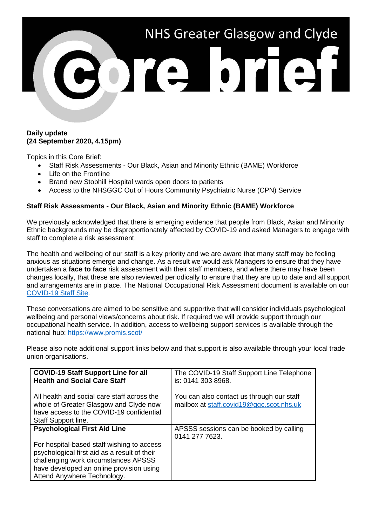

#### **Daily update (24 September 2020, 4.15pm)**

Topics in this Core Brief:

- Staff Risk Assessments Our Black, Asian and Minority Ethnic (BAME) Workforce
- Life on the Frontline
- Brand new Stobhill Hospital wards open doors to patients
- Access to the NHSGGC Out of Hours Community Psychiatric Nurse (CPN) Service

### **Staff Risk Assessments - Our Black, Asian and Minority Ethnic (BAME) Workforce**

We previously acknowledged that there is emerging evidence that people from Black, Asian and Minority Ethnic backgrounds may be disproportionately affected by COVID-19 and asked Managers to engage with staff to complete a risk assessment.

The health and wellbeing of our staff is a key priority and we are aware that many staff may be feeling anxious as situations emerge and change. As a result we would ask Managers to ensure that they have undertaken a **face to face** risk assessment with their staff members, and where there may have been changes locally, that these are also reviewed periodically to ensure that they are up to date and all support and arrangements are in place. The National Occupational Risk Assessment document is available on our [COVID-19 Staff Site.](https://www.nhsggc.org.uk/your-health/health-issues/covid-19-coronavirus/for-nhsggc-staff/general-staff-guidance-resources/)

These conversations are aimed to be sensitive and supportive that will consider individuals psychological wellbeing and personal views/concerns about risk. If required we will provide support through our occupational health service. In addition, access to wellbeing support services is available through the national hub:<https://www.promis.scot/>

Please also note additional support links below and that support is also available through your local trade union organisations.

| <b>COVID-19 Staff Support Line for all</b><br><b>Health and Social Care Staff</b>                                                                                                                             | The COVID-19 Staff Support Line Telephone<br>is: 0141 303 8968.                       |
|---------------------------------------------------------------------------------------------------------------------------------------------------------------------------------------------------------------|---------------------------------------------------------------------------------------|
| All health and social care staff across the<br>whole of Greater Glasgow and Clyde now<br>have access to the COVID-19 confidential<br>Staff Support line.                                                      | You can also contact us through our staff<br>mailbox at staff.covid19@ggc.scot.nhs.uk |
| <b>Psychological First Aid Line</b>                                                                                                                                                                           | APSSS sessions can be booked by calling<br>0141 277 7623.                             |
| For hospital-based staff wishing to access<br>psychological first aid as a result of their<br>challenging work circumstances APSSS<br>have developed an online provision using<br>Attend Anywhere Technology. |                                                                                       |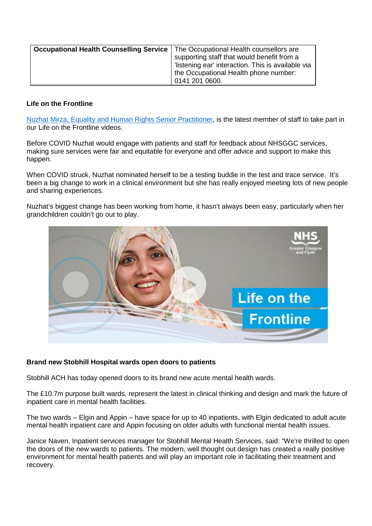| Occupational Health Counselling Service   The Occupational Health counsellors are | supporting staff that would benefit from a         |
|-----------------------------------------------------------------------------------|----------------------------------------------------|
|                                                                                   | 'listening ear' interaction. This is available via |
|                                                                                   | the Occupational Health phone number:              |
|                                                                                   | 0141 201 0600.                                     |

# **Life on the Frontline**

[Nuzhat Mirza, Equality and Human Rights Senior Practitioner,](https://www.youtube.com/watch?v=kSV4L2wePRA) is the latest member of staff to take part in our Life on the Frontline videos.

Before COVID Nuzhat would engage with patients and staff for feedback about NHSGGC services, making sure services were fair and equitable for everyone and offer advice and support to make this happen.

When COVID struck, Nuzhat nominated herself to be a testing buddie in the test and trace service. It's been a big change to work in a clinical environment but she has really enjoyed meeting lots of new people and sharing experiences.

Nuzhat's biggest change has been working from home, it hasn't always been easy, particularly when her grandchildren couldn't go out to play.



### **Brand new Stobhill Hospital wards open doors to patients**

Stobhill ACH has today opened doors to its brand new acute mental health wards.

The £10.7m purpose built wards, represent the latest in clinical thinking and design and mark the future of inpatient care in mental health facilities.

The two wards – Elgin and Appin – have space for up to 40 inpatients, with Elgin dedicated to adult acute mental health inpatient care and Appin focusing on older adults with functional mental health issues.

Janice Naven, Inpatient services manager for Stobhill Mental Health Services, said: "We're thrilled to open the doors of the new wards to patients. The modern, well thought out design has created a really positive environment for mental health patients and will play an important role in facilitating their treatment and recovery.